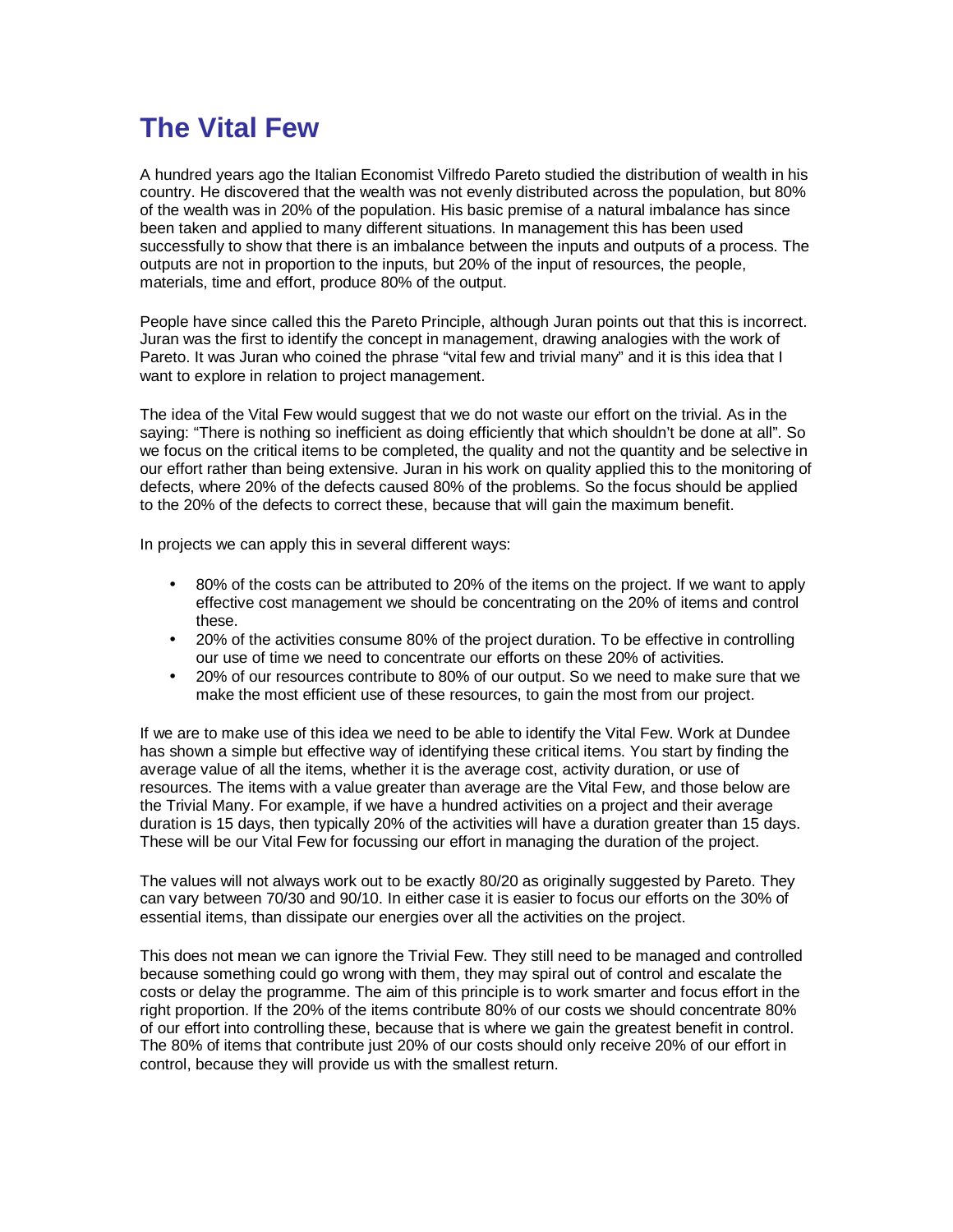## **The Vital Few**

A hundred years ago the Italian Economist Vilfredo Pareto studied the distribution of wealth in his country. He discovered that the wealth was not evenly distributed across the population, but 80% of the wealth was in 20% of the population. His basic premise of a natural imbalance has since been taken and applied to many different situations. In management this has been used successfully to show that there is an imbalance between the inputs and outputs of a process. The outputs are not in proportion to the inputs, but 20% of the input of resources, the people, materials, time and effort, produce 80% of the output.

People have since called this the Pareto Principle, although Juran points out that this is incorrect. Juran was the first to identify the concept in management, drawing analogies with the work of Pareto. It was Juran who coined the phrase "vital few and trivial many" and it is this idea that I want to explore in relation to project management.

The idea of the Vital Few would suggest that we do not waste our effort on the trivial. As in the saying: "There is nothing so inefficient as doing efficiently that which shouldn't be done at all". So we focus on the critical items to be completed, the quality and not the quantity and be selective in our effort rather than being extensive. Juran in his work on quality applied this to the monitoring of defects, where 20% of the defects caused 80% of the problems. So the focus should be applied to the 20% of the defects to correct these, because that will gain the maximum benefit.

In projects we can apply this in several different ways:

- 80% of the costs can be attributed to 20% of the items on the project. If we want to apply effective cost management we should be concentrating on the 20% of items and control these.
- 20% of the activities consume 80% of the project duration. To be effective in controlling our use of time we need to concentrate our efforts on these 20% of activities.
- 20% of our resources contribute to 80% of our output. So we need to make sure that we make the most efficient use of these resources, to gain the most from our project.

If we are to make use of this idea we need to be able to identify the Vital Few. Work at Dundee has shown a simple but effective way of identifying these critical items. You start by finding the average value of all the items, whether it is the average cost, activity duration, or use of resources. The items with a value greater than average are the Vital Few, and those below are the Trivial Many. For example, if we have a hundred activities on a project and their average duration is 15 days, then typically 20% of the activities will have a duration greater than 15 days. These will be our Vital Few for focussing our effort in managing the duration of the project.

The values will not always work out to be exactly 80/20 as originally suggested by Pareto. They can vary between 70/30 and 90/10. In either case it is easier to focus our efforts on the 30% of essential items, than dissipate our energies over all the activities on the project.

This does not mean we can ignore the Trivial Few. They still need to be managed and controlled because something could go wrong with them, they may spiral out of control and escalate the costs or delay the programme. The aim of this principle is to work smarter and focus effort in the right proportion. If the 20% of the items contribute 80% of our costs we should concentrate 80% of our effort into controlling these, because that is where we gain the greatest benefit in control. The 80% of items that contribute just 20% of our costs should only receive 20% of our effort in control, because they will provide us with the smallest return.